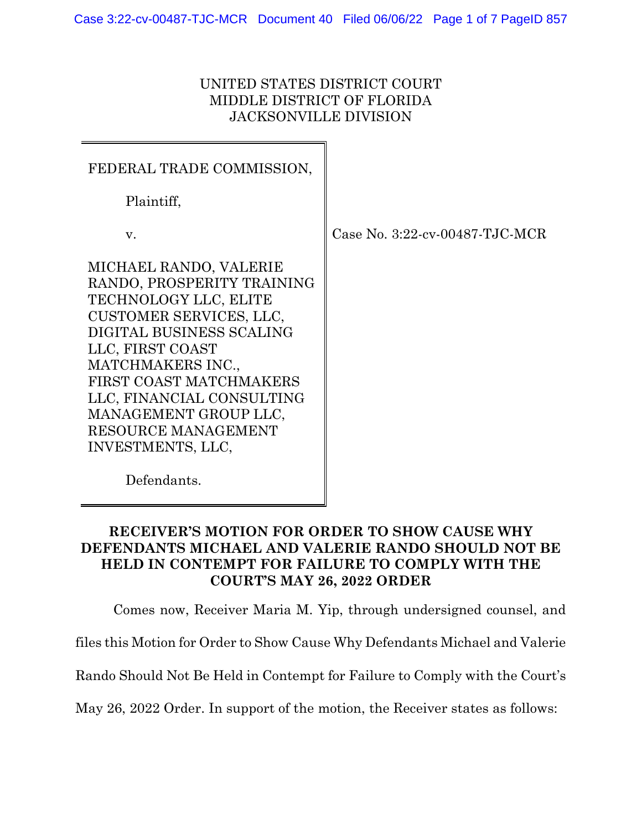## UNITED STATES DISTRICT COURT MIDDLE DISTRICT OF FLORIDA JACKSONVILLE DIVISION

| FEDERAL TRADE COMMISSION,                                                                                                                                                                                                                                                                                  |        |
|------------------------------------------------------------------------------------------------------------------------------------------------------------------------------------------------------------------------------------------------------------------------------------------------------------|--------|
| Plaintiff,                                                                                                                                                                                                                                                                                                 |        |
| v.                                                                                                                                                                                                                                                                                                         | Case N |
| MICHAEL RANDO, VALERIE<br>RANDO, PROSPERITY TRAINING<br>TECHNOLOGY LLC, ELITE<br>CUSTOMER SERVICES, LLC,<br>DIGITAL BUSINESS SCALING<br>LLC, FIRST COAST<br>MATCHMAKERS INC.,<br>FIRST COAST MATCHMAKERS<br>LLC, FINANCIAL CONSULTING<br>MANAGEMENT GROUP LLC,<br>RESOURCE MANAGEMENT<br>INVESTMENTS, LLC, |        |

 $\rm No.~3:22\text{-}cv$ - $\rm 00487\text{-}TJC\text{-}MCR$ 

Defendants.

# **RECEIVER'S MOTION FOR ORDER TO SHOW CAUSE WHY DEFENDANTS MICHAEL AND VALERIE RANDO SHOULD NOT BE HELD IN CONTEMPT FOR FAILURE TO COMPLY WITH THE COURT'S MAY 26, 2022 ORDER**

Comes now, Receiver Maria M. Yip, through undersigned counsel, and

files this Motion for Order to Show Cause Why Defendants Michael and Valerie

Rando Should Not Be Held in Contempt for Failure to Comply with the Court's

May 26, 2022 Order. In support of the motion, the Receiver states as follows: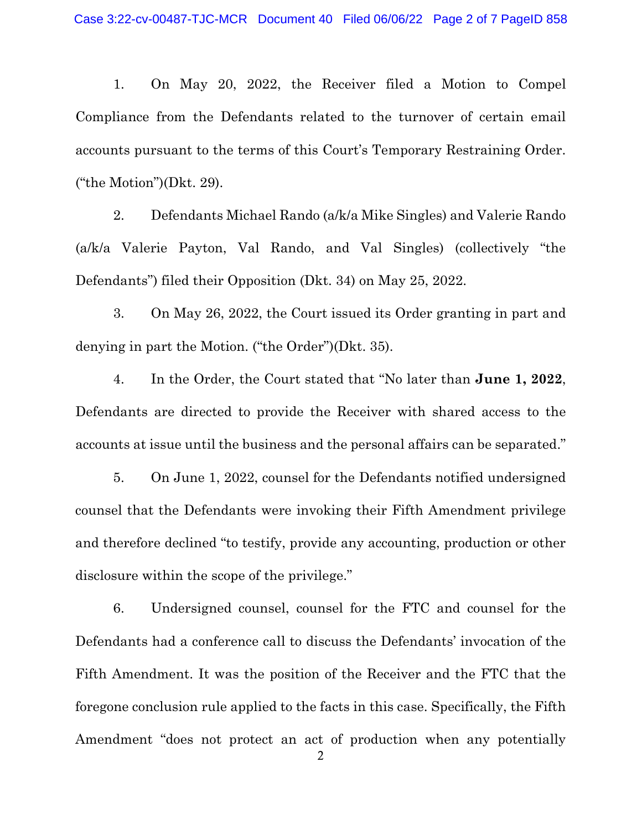1. On May 20, 2022, the Receiver filed a Motion to Compel Compliance from the Defendants related to the turnover of certain email accounts pursuant to the terms of this Court's Temporary Restraining Order. ("the Motion")(Dkt. 29).

2. Defendants Michael Rando (a/k/a Mike Singles) and Valerie Rando (a/k/a Valerie Payton, Val Rando, and Val Singles) (collectively "the Defendants") filed their Opposition (Dkt. 34) on May 25, 2022.

3. On May 26, 2022, the Court issued its Order granting in part and denying in part the Motion. ("the Order")(Dkt. 35).

4. In the Order, the Court stated that "No later than **June 1, 2022**, Defendants are directed to provide the Receiver with shared access to the accounts at issue until the business and the personal affairs can be separated."

5. On June 1, 2022, counsel for the Defendants notified undersigned counsel that the Defendants were invoking their Fifth Amendment privilege and therefore declined "to testify, provide any accounting, production or other disclosure within the scope of the privilege."

6. Undersigned counsel, counsel for the FTC and counsel for the Defendants had a conference call to discuss the Defendants' invocation of the Fifth Amendment. It was the position of the Receiver and the FTC that the foregone conclusion rule applied to the facts in this case. Specifically, the Fifth Amendment "does not protect an act of production when any potentially

2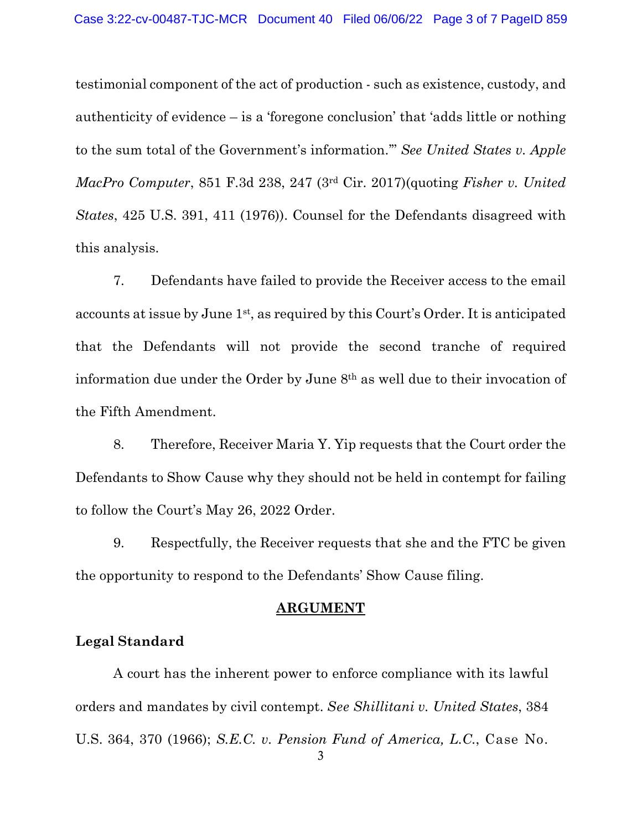testimonial component of the act of production - such as existence, custody, and authenticity of evidence – is a 'foregone conclusion' that 'adds little or nothing to the sum total of the Government's information.'" *See United States v. Apple MacPro Computer*, 851 F.3d 238, 247 (3rd Cir. 2017)(quoting *Fisher v. United States*, 425 U.S. 391, 411 (1976)). Counsel for the Defendants disagreed with this analysis.

7. Defendants have failed to provide the Receiver access to the email accounts at issue by June 1st, as required by this Court's Order. It is anticipated that the Defendants will not provide the second tranche of required information due under the Order by June 8th as well due to their invocation of the Fifth Amendment.

8. Therefore, Receiver Maria Y. Yip requests that the Court order the Defendants to Show Cause why they should not be held in contempt for failing to follow the Court's May 26, 2022 Order.

9. Respectfully, the Receiver requests that she and the FTC be given the opportunity to respond to the Defendants' Show Cause filing.

#### **ARGUMENT**

## **Legal Standard**

A court has the inherent power to enforce compliance with its lawful orders and mandates by civil contempt. *See Shillitani v. United States*, 384 U.S. 364, 370 (1966); *S.E.C. v. Pension Fund of America, L.C.*, Case No.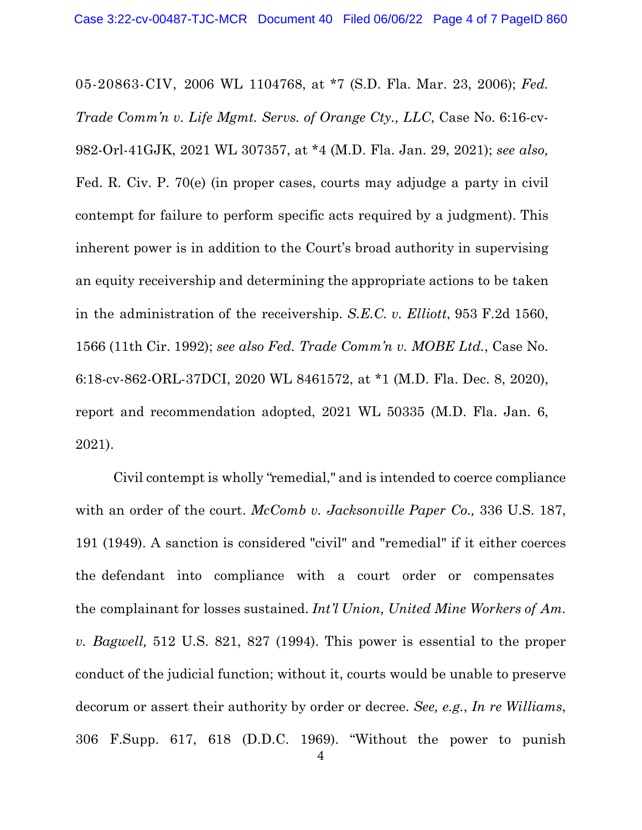05-20863-CIV, 2006 WL 1104768, at \*7 (S.D. Fla. Mar. 23, 2006); *Fed. Trade Comm'n v. Life Mgmt. Servs. of Orange Cty., LLC*, Case No. 6:16-cv-982-Orl-41GJK, 2021 WL 307357, at \*4 (M.D. Fla. Jan. 29, 2021); *see also,* Fed. R. Civ. P. 70(e) (in proper cases, courts may adjudge a party in civil contempt for failure to perform specific acts required by a judgment). This inherent power is in addition to the Court's broad authority in supervising an equity receivership and determining the appropriate actions to be taken in the administration of the receivership. *S.E.C. v. Elliott*, 953 F.2d 1560, 1566 (11th Cir. 1992); *see also Fed. Trade Comm'n v. MOBE Ltd.*, Case No. 6:18-cv-862-ORL-37DCI, 2020 WL 8461572, at \*1 (M.D. Fla. Dec. 8, 2020), report and recommendation adopted, 2021 WL 50335 (M.D. Fla. Jan. 6, 2021).

Civil contempt is wholly "remedial," and is intended to coerce compliance with an order of the court. *McComb v. Jacksonville Paper Co.,* 336 U.S. 187, 191 (1949). A sanction is considered "civil" and "remedial" if it either coerces the defendant into compliance with a court order or compensates the complainant for losses sustained. *Int'l Union, United Mine Workers of Am. v. Bagwell,* 512 U.S. 821, 827 (1994). This power is essential to the proper conduct of the judicial function; without it, courts would be unable to preserve decorum or assert their authority by order or decree. *See, e.g.*, *In re Williams*, 306 F.Supp. 617, 618 (D.D.C. 1969). "Without the power to punish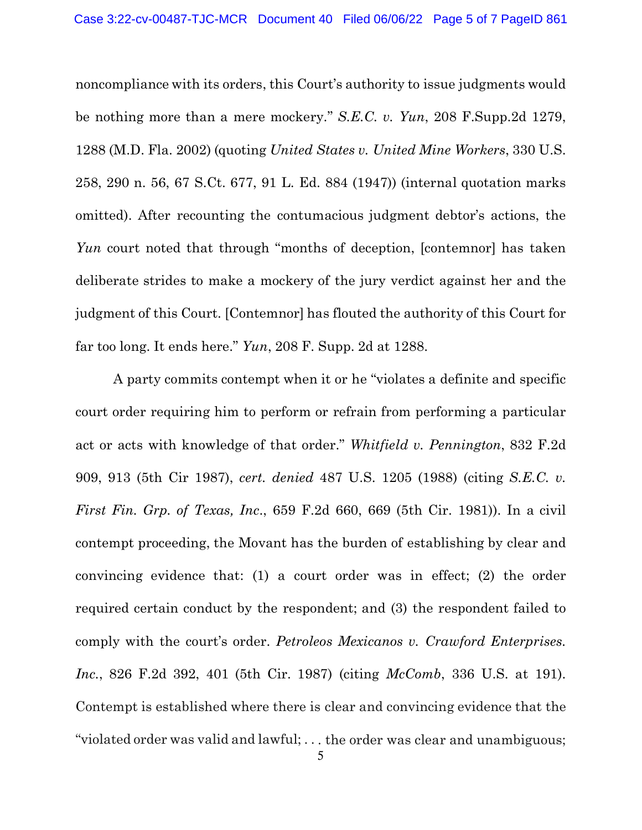noncompliance with its orders, this Court's authority to issue judgments would be nothing more than a mere mockery." *S.E.C. v. Yun*, 208 F.Supp.2d 1279, 1288 (M.D. Fla. 2002) (quoting *United States v. United Mine Workers*, 330 U.S. 258, 290 n. 56, 67 S.Ct. 677, 91 L. Ed. 884 (1947)) (internal quotation marks omitted). After recounting the contumacious judgment debtor's actions, the *Yun* court noted that through "months of deception, [contemnor] has taken deliberate strides to make a mockery of the jury verdict against her and the judgment of this Court. [Contemnor] has flouted the authority of this Court for far too long. It ends here." *Yun*, 208 F. Supp. 2d at 1288.

A party commits contempt when it or he "violates a definite and specific court order requiring him to perform or refrain from performing a particular act or acts with knowledge of that order." *Whitfield v. Pennington*, 832 F.2d 909, 913 (5th Cir 1987), *cert. denied* 487 U.S. 1205 (1988) (citing *S.E.C. v. First Fin. Grp. of Texas, Inc*., 659 F.2d 660, 669 (5th Cir. 1981)). In a civil contempt proceeding, the Movant has the burden of establishing by clear and convincing evidence that: (1) a court order was in effect; (2) the order required certain conduct by the respondent; and (3) the respondent failed to comply with the court's order. *Petroleos Mexicanos v. Crawford Enterprises. Inc.*, 826 F.2d 392, 401 (5th Cir. 1987) (citing *McComb*, 336 U.S. at 191). Contempt is established where there is clear and convincing evidence that the "violated order was valid and lawful; . . . the order was clear and unambiguous;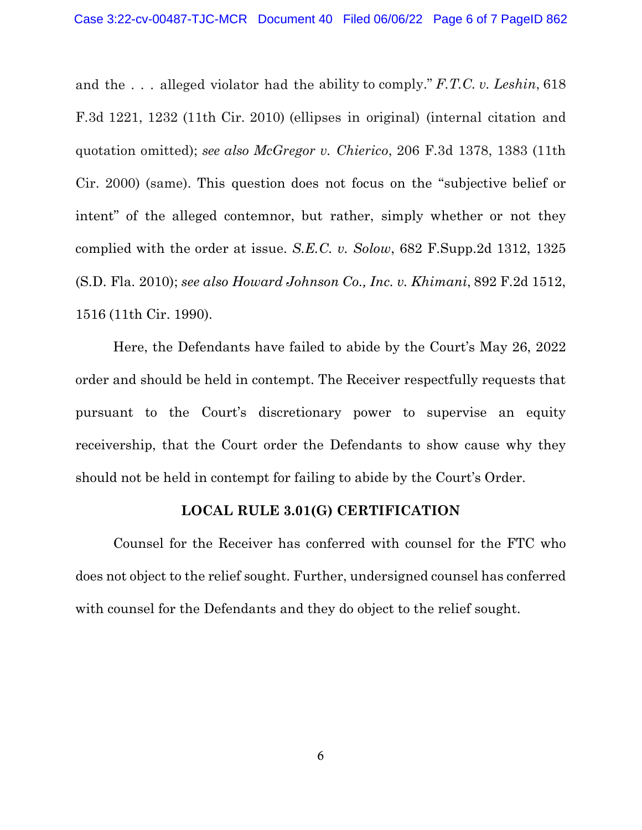and the . . . alleged violator had the ability to comply." *F.T.C. v. Leshin*, 618 F.3d 1221, 1232 (11th Cir. 2010) (ellipses in original) (internal citation and quotation omitted); *see also McGregor v. Chierico*, 206 F.3d 1378, 1383 (11th Cir. 2000) (same). This question does not focus on the "subjective belief or intent" of the alleged contemnor, but rather, simply whether or not they complied with the order at issue. *S.E.C. v. Solow*, 682 F.Supp.2d 1312, 1325 (S.D. Fla. 2010); *see also Howard Johnson Co., Inc. v. Khimani*, 892 F.2d 1512, 1516 (11th Cir. 1990).

Here, the Defendants have failed to abide by the Court's May 26, 2022 order and should be held in contempt. The Receiver respectfully requests that pursuant to the Court's discretionary power to supervise an equity receivership, that the Court order the Defendants to show cause why they should not be held in contempt for failing to abide by the Court's Order.

### **LOCAL RULE 3.01(G) CERTIFICATION**

Counsel for the Receiver has conferred with counsel for the FTC who does not object to the relief sought. Further, undersigned counsel has conferred with counsel for the Defendants and they do object to the relief sought.